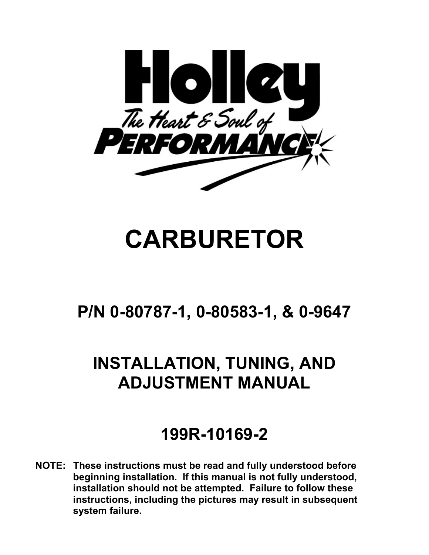

# **CARBURETOR**

# **P/N 0-80787-1, 0-80583-1, & 0-9647**

# **INSTALLATION, TUNING, AND ADJUSTMENT MANUAL**

# **199R-10169-2**

**NOTE: These instructions must be read and fully understood before beginning installation. If this manual is not fully understood, installation should not be attempted. Failure to follow these instructions, including the pictures may result in subsequent system failure.**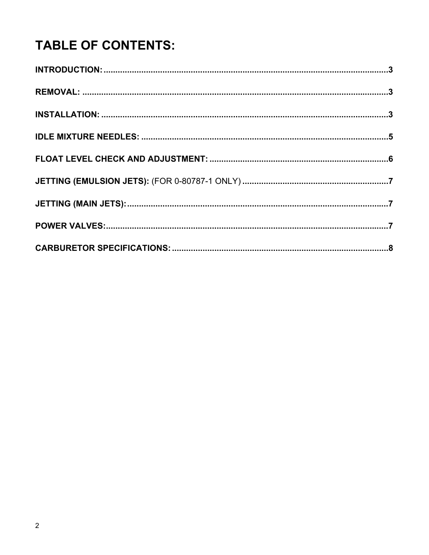# **TABLE OF CONTENTS:**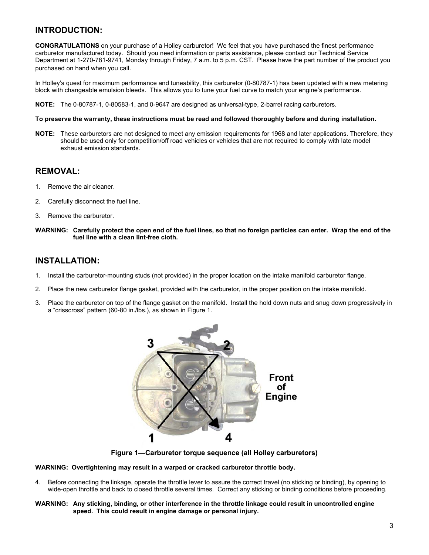### <span id="page-2-0"></span>**INTRODUCTION:**

**CONGRATULATIONS** on your purchase of a Holley carburetor! We feel that you have purchased the finest performance carburetor manufactured today. Should you need information or parts assistance, please contact our Technical Service Department at 1-270-781-9741, Monday through Friday, 7 a.m. to 5 p.m. CST. Please have the part number of the product you purchased on hand when you call.

In Holley's quest for maximum performance and tuneability, this carburetor (0-80787-1) has been updated with a new metering block with changeable emulsion bleeds. This allows you to tune your fuel curve to match your engine's performance.

**NOTE:** The 0-80787-1, 0-80583-1, and 0-9647 are designed as universal-type, 2-barrel racing carburetors.

#### **To preserve the warranty, these instructions must be read and followed thoroughly before and during installation.**

**NOTE:** These carburetors are not designed to meet any emission requirements for 1968 and later applications. Therefore, they should be used only for competition/off road vehicles or vehicles that are not required to comply with late model exhaust emission standards.

### <span id="page-2-1"></span>**REMOVAL:**

- 1. Remove the air cleaner.
- 2. Carefully disconnect the fuel line.
- 3. Remove the carburetor.
- **WARNING: Carefully protect the open end of the fuel lines, so that no foreign particles can enter. Wrap the end of the fuel line with a clean lint-free cloth.**

### <span id="page-2-2"></span>**INSTALLATION:**

- 1. Install the carburetor-mounting studs (not provided) in the proper location on the intake manifold carburetor flange.
- 2. Place the new carburetor flange gasket, provided with the carburetor, in the proper position on the intake manifold.
- 3. Place the carburetor on top of the flange gasket on the manifold. Install the hold down nuts and snug down progressively in a "crisscross" pattern (60-80 in./lbs.), as shown in Figure 1.



**Figure 1—Carburetor torque sequence (all Holley carburetors)**

#### **WARNING: Overtightening may result in a warped or cracked carburetor throttle body.**

4. Before connecting the linkage, operate the throttle lever to assure the correct travel (no sticking or binding), by opening to wide-open throttle and back to closed throttle several times. Correct any sticking or binding conditions before proceeding.

#### **WARNING: Any sticking, binding, or other interference in the throttle linkage could result in uncontrolled engine speed. This could result in engine damage or personal injury.**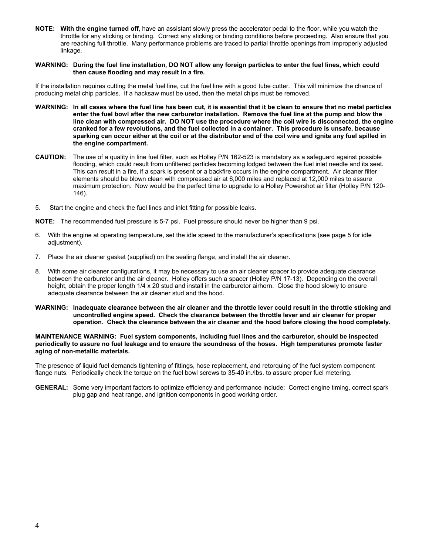**NOTE: With the engine turned off**, have an assistant slowly press the accelerator pedal to the floor, while you watch the throttle for any sticking or binding. Correct any sticking or binding conditions before proceeding. Also ensure that you are reaching full throttle. Many performance problems are traced to partial throttle openings from improperly adjusted linkage.

#### **WARNING: During the fuel line installation, DO NOT allow any foreign particles to enter the fuel lines, which could then cause flooding and may result in a fire.**

If the installation requires cutting the metal fuel line, cut the fuel line with a good tube cutter. This will minimize the chance of producing metal chip particles. If a hacksaw must be used, then the metal chips must be removed.

- **WARNING: In all cases where the fuel line has been cut, it is essential that it be clean to ensure that no metal particles enter the fuel bowl after the new carburetor installation. Remove the fuel line at the pump and blow the line clean with compressed air. DO NOT use the procedure where the coil wire is disconnected, the engine cranked for a few revolutions, and the fuel collected in a container. This procedure is unsafe, because sparking can occur either at the coil or at the distributor end of the coil wire and ignite any fuel spilled in the engine compartment.**
- **CAUTION:** The use of a quality in line fuel filter, such as Holley P/N 162-523 is mandatory as a safeguard against possible flooding, which could result from unfiltered particles becoming lodged between the fuel inlet needle and its seat. This can result in a fire, if a spark is present or a backfire occurs in the engine compartment. Air cleaner filter elements should be blown clean with compressed air at 6,000 miles and replaced at 12,000 miles to assure maximum protection. Now would be the perfect time to upgrade to a Holley Powershot air filter (Holley P/N 120- 146).
- 5. Start the engine and check the fuel lines and inlet fitting for possible leaks.

**NOTE:** The recommended fuel pressure is 5-7 psi. Fuel pressure should never be higher than 9 psi.

- 6. With the engine at operating temperature, set the idle speed to the manufacturer's specifications (see page [5 f](#page-4-0)or idle adjustment).
- 7. Place the air cleaner gasket (supplied) on the sealing flange, and install the air cleaner.
- 8. With some air cleaner configurations, it may be necessary to use an air cleaner spacer to provide adequate clearance between the carburetor and the air cleaner. Holley offers such a spacer (Holley P/N 17-13). Depending on the overall height, obtain the proper length 1/4 x 20 stud and install in the carburetor airhorn. Close the hood slowly to ensure adequate clearance between the air cleaner stud and the hood.
- **WARNING: Inadequate clearance between the air cleaner and the throttle lever could result in the throttle sticking and uncontrolled engine speed. Check the clearance between the throttle lever and air cleaner for proper operation. Check the clearance between the air cleaner and the hood before closing the hood completely.**

#### **MAINTENANCE WARNING: Fuel system components, including fuel lines and the carburetor, should be inspected periodically to assure no fuel leakage and to ensure the soundness of the hoses. High temperatures promote faster aging of non-metallic materials.**

The presence of liquid fuel demands tightening of fittings, hose replacement, and retorquing of the fuel system component flange nuts. Periodically check the torque on the fuel bowl screws to 35-40 in./lbs. to assure proper fuel metering.

**GENERAL:** Some very important factors to optimize efficiency and performance include: Correct engine timing, correct spark plug gap and heat range, and ignition components in good working order.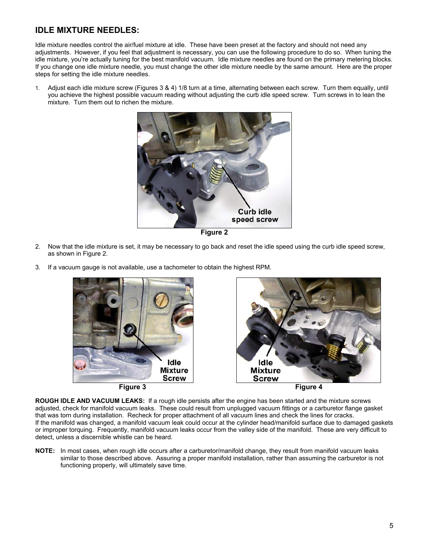## <span id="page-4-0"></span>**IDLE MIXTURE NEEDLES:**

Idle mixture needles control the air/fuel mixture at idle. These have been preset at the factory and should not need any adjustments. However, if you feel that adjustment is necessary, you can use the following procedure to do so. When tuning the idle mixture, you're actually tuning for the best manifold vacuum. Idle mixture needles are found on the primary metering blocks. If you change one idle mixture needle, you must change the other idle mixture needle by the same amount. Here are the proper steps for setting the idle mixture needles.

1. Adjust each idle mixture screw (Figures 3 & 4) 1/8 turn at a time, alternating between each screw. Turn them equally, until you achieve the highest possible vacuum reading without adjusting the curb idle speed screw. Turn screws in to lean the mixture. Turn them out to richen the mixture.



**Figure 2**

- 2. Now that the idle mixture is set, it may be necessary to go back and reset the idle speed using the curb idle speed screw, as shown in Figure 2.
- 3. If a vacuum gauge is not available, use a tachometer to obtain the highest RPM.



**ROUGH IDLE AND VACUUM LEAKS:** If a rough idle persists after the engine has been started and the mixture screws adjusted, check for manifold vacuum leaks. These could result from unplugged vacuum fittings or a carburetor flange gasket that was torn during installation. Recheck for proper attachment of all vacuum lines and check the lines for cracks. If the manifold was changed, a manifold vacuum leak could occur at the cylinder head/manifold surface due to damaged gaskets or improper torquing. Frequently, manifold vacuum leaks occur from the valley side of the manifold. These are very difficult to detect, unless a discernible whistle can be heard.

**NOTE:** In most cases, when rough idle occurs after a carburetor/manifold change, they result from manifold vacuum leaks similar to those described above. Assuring a proper manifold installation, rather than assuming the carburetor is not functioning properly, will ultimately save time.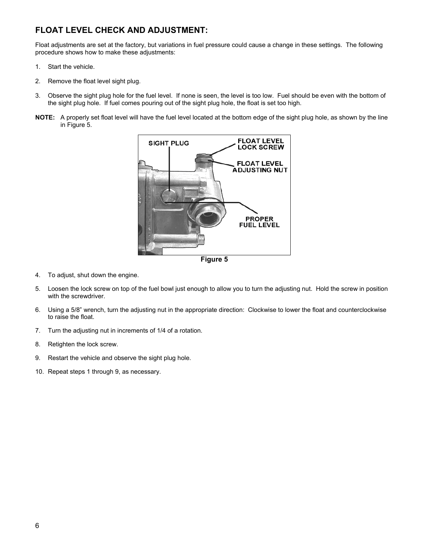# <span id="page-5-0"></span>**FLOAT LEVEL CHECK AND ADJUSTMENT:**

Float adjustments are set at the factory, but variations in fuel pressure could cause a change in these settings. The following procedure shows how to make these adjustments:

- 1. Start the vehicle.
- 2. Remove the float level sight plug.
- 3. Observe the sight plug hole for the fuel level. If none is seen, the level is too low. Fuel should be even with the bottom of the sight plug hole. If fuel comes pouring out of the sight plug hole, the float is set too high.
- **NOTE:** A properly set float level will have the fuel level located at the bottom edge of the sight plug hole, as shown by the line in Figure 5.



**Figure 5**

- 4. To adjust, shut down the engine.
- 5. Loosen the lock screw on top of the fuel bowl just enough to allow you to turn the adjusting nut. Hold the screw in position with the screwdriver.
- 6. Using a 5/8" wrench, turn the adjusting nut in the appropriate direction: Clockwise to lower the float and counterclockwise to raise the float.
- 7. Turn the adjusting nut in increments of 1/4 of a rotation.
- 8. Retighten the lock screw.
- 9. Restart the vehicle and observe the sight plug hole.
- 10. Repeat steps 1 through 9, as necessary.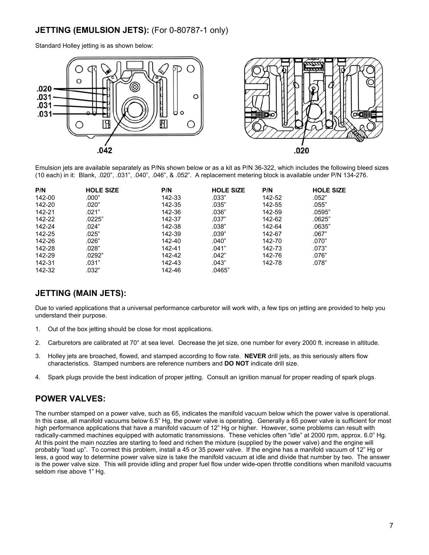### <span id="page-6-0"></span>**JETTING (EMULSION JETS):** (For 0-80787-1 only)

Standard Holley jetting is as shown below:



Emulsion jets are available separately as P/Ns shown below or as a kit as P/N 36-322, which includes the following bleed sizes (10 each) in it: Blank, .020", .031", .040", .046", & .052". A replacement metering block is available under P/N 134-276.

| P/N    | <b>HOLE SIZE</b> | P/N    | <b>HOLE SIZE</b> | P/N    | <b>HOLE SIZE</b> |
|--------|------------------|--------|------------------|--------|------------------|
| 142-00 | .000"            | 142-33 | .033"            | 142-52 | .052"            |
| 142-20 | .020"            | 142-35 | .035"            | 142-55 | .055"            |
| 142-21 | .021"            | 142-36 | .036"            | 142-59 | .0595"           |
| 142-22 | .0225"           | 142-37 | .037"            | 142-62 | .0625"           |
| 142-24 | .024"            | 142-38 | .038"            | 142-64 | .0635"           |
| 142-25 | .025"            | 142-39 | .039"            | 142-67 | .067"            |
| 142-26 | .026"            | 142-40 | .040"            | 142-70 | .070"            |
| 142-28 | .028"            | 142-41 | .041"            | 142-73 | .073"            |
| 142-29 | .0292"           | 142-42 | .042"            | 142-76 | .076"            |
| 142-31 | .031"            | 142-43 | .043"            | 142-78 | .078"            |
| 142-32 | .032"            | 142-46 | .0465"           |        |                  |

### <span id="page-6-1"></span>**JETTING (MAIN JETS):**

Due to varied applications that a universal performance carburetor will work with, a few tips on jetting are provided to help you understand their purpose.

- 1. Out of the box jetting should be close for most applications.
- 2. Carburetors are calibrated at 70° at sea level. Decrease the jet size, one number for every 2000 ft. increase in altitude.
- 3. Holley jets are broached, flowed, and stamped according to flow rate. **NEVER** drill jets, as this seriously alters flow characteristics. Stamped numbers are reference numbers and **DO NOT** indicate drill size.
- 4. Spark plugs provide the best indication of proper jetting. Consult an ignition manual for proper reading of spark plugs.

### <span id="page-6-2"></span>**POWER VALVES:**

The number stamped on a power valve, such as 65, indicates the manifold vacuum below which the power valve is operational. In this case, all manifold vacuums below 6.5" Hg, the power valve is operating. Generally a 65 power valve is sufficient for most high performance applications that have a manifold vacuum of 12" Hg or higher. However, some problems can result with radically-cammed machines equipped with automatic transmissions. These vehicles often "idle" at 2000 rpm, approx. 6.0" Hg. At this point the main nozzles are starting to feed and richen the mixture (supplied by the power valve) and the engine will probably "load up". To correct this problem, install a 45 or 35 power valve. If the engine has a manifold vacuum of 12" Hg or less, a good way to determine power valve size is take the manifold vacuum at idle and divide that number by two. The answer is the power valve size. This will provide idling and proper fuel flow under wide-open throttle conditions when manifold vacuums seldom rise above 1" Hg.